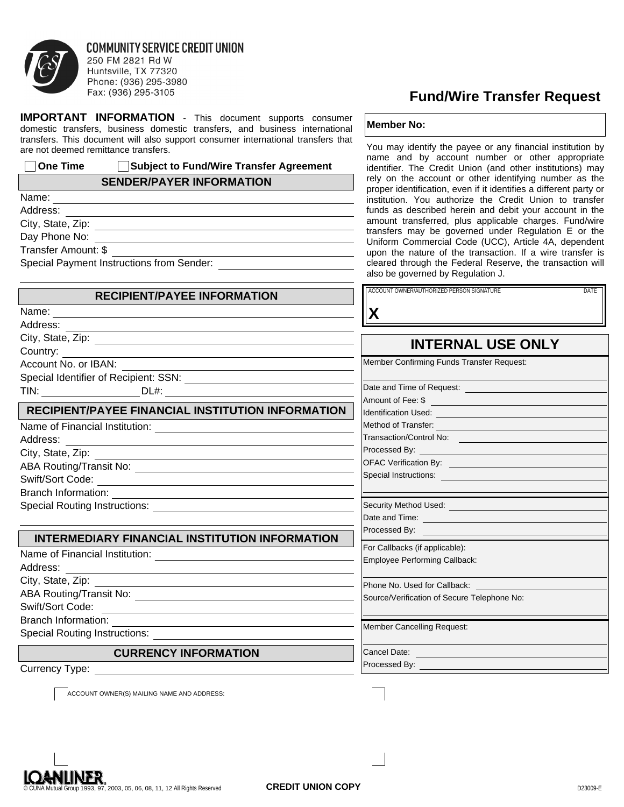

#### **COMMUNITY SERVICE CREDIT UNION** 250 FM 2821 Rd W Huntsville, TX 77320 Phone: (936) 295-3980 Fax: (936) 295-3105

**IMPORTANT INFORMATION** - This document supports consumer domestic transfers, business domestic transfers, and business international transfers. This document will also support consumer international transfers that are not deemed remittance transfers.

# **One Time Subject to Fund/Wire Transfer Agreement**

### **SENDER/PAYER INFORMATION**

<u> 1989 - Johann Barbara, martxa alemaniar amerikan personal (h. 1989).</u>

<u> 1989 - Johann Stoff, deutscher Stoffen und der Stoffen und der Stoffen und der Stoffen und der Stoffen und der</u>

Name: Address:

City, State, Zip:

Day Phone No:

Transfer Amount: \$

Special Payment Instructions from Sender:

# **RECIPIENT/PAYEE INFORMATION**

| vame |
|------|
|------|

Address:

City, State, Zip: Country:

Account No. or IBAN: Special Identifier of Recipient: SSN: TIN: DL#:

# **RECIPIENT/PAYEE FINANCIAL INSTITUTION INFORMATION**

| Name of Financial Institution: |  |
|--------------------------------|--|
| Address:                       |  |
| City, State, Zip:              |  |
| ABA Routing/Transit No:        |  |
| $0.0410 \times 0.001$          |  |

Swift/Sort Code: Branch Information:

Special Routing Instructions:

# **INTERMEDIARY FINANCIAL INSTITUTION INFORMATION**

| Name of Financial Institution:       |
|--------------------------------------|
| Address:                             |
| City, State, Zip:                    |
| ABA Routing/Transit No:              |
| Swift/Sort Code:                     |
| Branch Information:                  |
| <b>Special Routing Instructions:</b> |

# **CURRENCY INFORMATION**

Currency Type:

ACCOUNT OWNER(S) MAILING NAME AND ADDRESS:

# **Fund/Wire Transfer Request**

#### **Member No:**

You may identify the payee or any financial institution by name and by account number or other appropriate identifier. The Credit Union (and other institutions) may rely on the account or other identifying number as the proper identification, even if it identifies a different party or institution. You authorize the Credit Union to transfer funds as described herein and debit your account in the amount transferred, plus applicable charges. Fund/wire transfers may be governed under Regulation E or the Uniform Commercial Code (UCC), Article 4A, dependent upon the nature of the transaction. If a wire transfer is cleared through the Federal Reserve, the transaction will also be governed by Regulation J.

| <b>RECIPIENT/PAYEE INFORMATION</b>                                                                                            | ACCOUNT OWNER/AUTHORIZED PERSON SIGNATURE<br><b>DATE</b>                                                                                                                                                                             |
|-------------------------------------------------------------------------------------------------------------------------------|--------------------------------------------------------------------------------------------------------------------------------------------------------------------------------------------------------------------------------------|
|                                                                                                                               | X                                                                                                                                                                                                                                    |
|                                                                                                                               |                                                                                                                                                                                                                                      |
|                                                                                                                               | <b>INTERNAL USE ONLY</b>                                                                                                                                                                                                             |
| BAN:                                                                                                                          | Member Confirming Funds Transfer Request:                                                                                                                                                                                            |
| of Recipient: SSN: $\frac{1}{2}$                                                                                              |                                                                                                                                                                                                                                      |
|                                                                                                                               | Date and Time of Request: <b>contains the property of the set of the set of the set of the set of the set of the set of the set of the set of the set of the set of the set of the set of the set of the set of the set of the s</b> |
|                                                                                                                               | Amount of Fee: \$                                                                                                                                                                                                                    |
| AYEE FINANCIAL INSTITUTION INFORMATION                                                                                        | Identification Used: <b>All and Service Control of the Control of Control of the Control of Control of Control of Control of Control of Control of Control of Control of Control of Control of Control of Control of Control of </b> |
| al Institution:                                                                                                               | Method of Transfer: <u>contract and the set of the set of the set of the set of the set of the set of the set of the set of the set of the set of the set of the set of the set of the set of the set of the set of the set of t</u> |
|                                                                                                                               | Transaction/Control No:                                                                                                                                                                                                              |
|                                                                                                                               |                                                                                                                                                                                                                                      |
| the control of the control of the control of the control of the control of the control of                                     | OFAC Verification By: <b>Contract Contract Contract Contract Contract Contract Contract Contract Contract Contract Contract Contract Contract Contract Contract Contract Contract Contract Contract Contract Contract Contract C</b> |
| the control of the control of the control of the control of the control of the control of                                     |                                                                                                                                                                                                                                      |
| ion:<br><u> 1989 - Johann Stein, mars et al. (b. 1989)</u>                                                                    |                                                                                                                                                                                                                                      |
|                                                                                                                               |                                                                                                                                                                                                                                      |
|                                                                                                                               |                                                                                                                                                                                                                                      |
| <b>IARY FINANCIAL INSTITUTION INFORMATION</b>                                                                                 | <b>Processed By:</b> The contract of the contract of the contract of the contract of the contract of the contract of the contract of the contract of the contract of the contract of the contract of the contract of the contract o  |
|                                                                                                                               | For Callbacks (if applicable):                                                                                                                                                                                                       |
| al Institution:                                                                                                               | Employee Performing Callback:                                                                                                                                                                                                        |
| the control of the control of the control of the control of the control of the control of                                     | Phone No. Used for Callback:                                                                                                                                                                                                         |
| $\frac{1}{2}$ ansit No:                                                                                                       | Source/Verification of Secure Telephone No:                                                                                                                                                                                          |
| ion:<br><u> 1989 - Johann Barn, mars ann an t-Amhain an t-Amhain an t-Amhain an t-Amhain an t-Amhain an t-Amhain an t-Amh</u> |                                                                                                                                                                                                                                      |
| <u>Instructions: ________________________</u>                                                                                 | Member Cancelling Request:                                                                                                                                                                                                           |
| <b>CURRENCY INFORMATION</b>                                                                                                   | Cancel Date: <b>Cancel Date: Cancel Date: Cancel Date:</b>                                                                                                                                                                           |
|                                                                                                                               |                                                                                                                                                                                                                                      |
|                                                                                                                               |                                                                                                                                                                                                                                      |